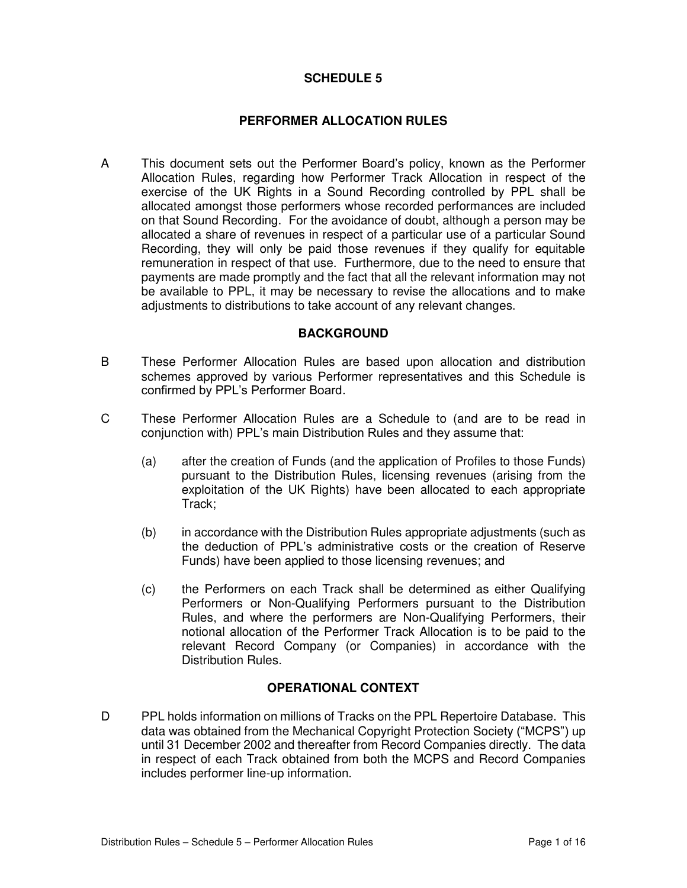## **SCHEDULE 5**

### **PERFORMER ALLOCATION RULES**

A This document sets out the Performer Board's policy, known as the Performer Allocation Rules, regarding how Performer Track Allocation in respect of the exercise of the UK Rights in a Sound Recording controlled by PPL shall be allocated amongst those performers whose recorded performances are included on that Sound Recording. For the avoidance of doubt, although a person may be allocated a share of revenues in respect of a particular use of a particular Sound Recording, they will only be paid those revenues if they qualify for equitable remuneration in respect of that use. Furthermore, due to the need to ensure that payments are made promptly and the fact that all the relevant information may not be available to PPL, it may be necessary to revise the allocations and to make adjustments to distributions to take account of any relevant changes.

#### **BACKGROUND**

- B These Performer Allocation Rules are based upon allocation and distribution schemes approved by various Performer representatives and this Schedule is confirmed by PPL's Performer Board.
- C These Performer Allocation Rules are a Schedule to (and are to be read in conjunction with) PPL's main Distribution Rules and they assume that:
	- (a) after the creation of Funds (and the application of Profiles to those Funds) pursuant to the Distribution Rules, licensing revenues (arising from the exploitation of the UK Rights) have been allocated to each appropriate Track;
	- (b) in accordance with the Distribution Rules appropriate adjustments (such as the deduction of PPL's administrative costs or the creation of Reserve Funds) have been applied to those licensing revenues; and
	- (c) the Performers on each Track shall be determined as either Qualifying Performers or Non-Qualifying Performers pursuant to the Distribution Rules, and where the performers are Non-Qualifying Performers, their notional allocation of the Performer Track Allocation is to be paid to the relevant Record Company (or Companies) in accordance with the Distribution Rules.

## **OPERATIONAL CONTEXT**

D PPL holds information on millions of Tracks on the PPL Repertoire Database. This data was obtained from the Mechanical Copyright Protection Society ("MCPS") up until 31 December 2002 and thereafter from Record Companies directly. The data in respect of each Track obtained from both the MCPS and Record Companies includes performer line-up information.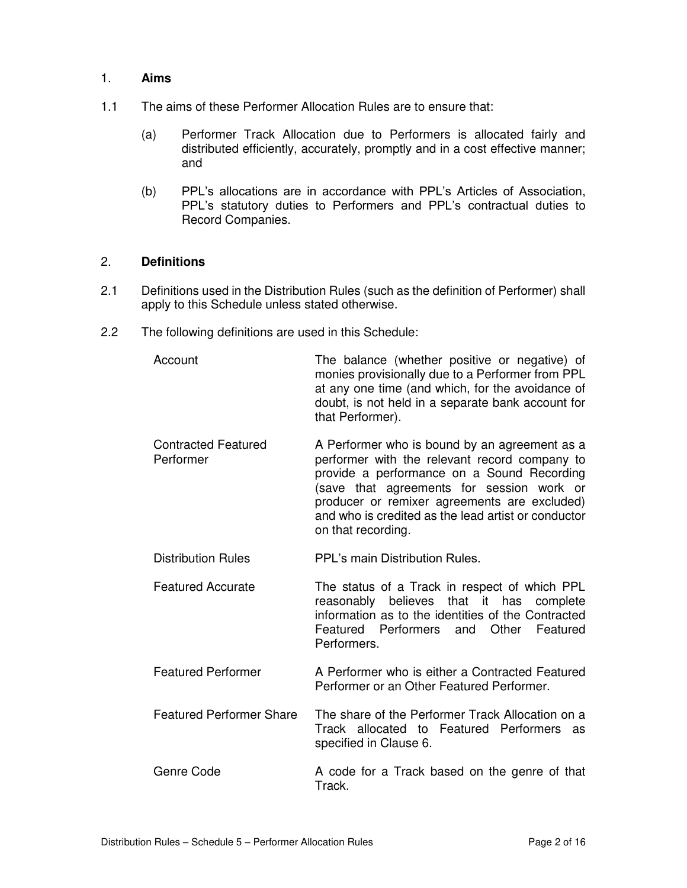#### 1. **Aims**

- 1.1 The aims of these Performer Allocation Rules are to ensure that:
	- (a) Performer Track Allocation due to Performers is allocated fairly and distributed efficiently, accurately, promptly and in a cost effective manner; and
	- (b) PPL's allocations are in accordance with PPL's Articles of Association, PPL's statutory duties to Performers and PPL's contractual duties to Record Companies.

#### 2. **Definitions**

- 2.1 Definitions used in the Distribution Rules (such as the definition of Performer) shall apply to this Schedule unless stated otherwise.
- 2.2 The following definitions are used in this Schedule:

| Account                                 | The balance (whether positive or negative) of<br>monies provisionally due to a Performer from PPL<br>at any one time (and which, for the avoidance of<br>doubt, is not held in a separate bank account for<br>that Performer).                                                                                         |
|-----------------------------------------|------------------------------------------------------------------------------------------------------------------------------------------------------------------------------------------------------------------------------------------------------------------------------------------------------------------------|
| <b>Contracted Featured</b><br>Performer | A Performer who is bound by an agreement as a<br>performer with the relevant record company to<br>provide a performance on a Sound Recording<br>(save that agreements for session work or<br>producer or remixer agreements are excluded)<br>and who is credited as the lead artist or conductor<br>on that recording. |
| <b>Distribution Rules</b>               | PPL's main Distribution Rules.                                                                                                                                                                                                                                                                                         |
| <b>Featured Accurate</b>                | The status of a Track in respect of which PPL<br>reasonably believes that it<br>has<br>complete<br>information as to the identities of the Contracted<br>Featured Performers<br>Other<br>and<br>Featured<br>Performers.                                                                                                |
| <b>Featured Performer</b>               | A Performer who is either a Contracted Featured<br>Performer or an Other Featured Performer.                                                                                                                                                                                                                           |
| <b>Featured Performer Share</b>         | The share of the Performer Track Allocation on a<br>Track allocated to Featured Performers<br>as<br>specified in Clause 6.                                                                                                                                                                                             |
| Genre Code                              | A code for a Track based on the genre of that<br>Track.                                                                                                                                                                                                                                                                |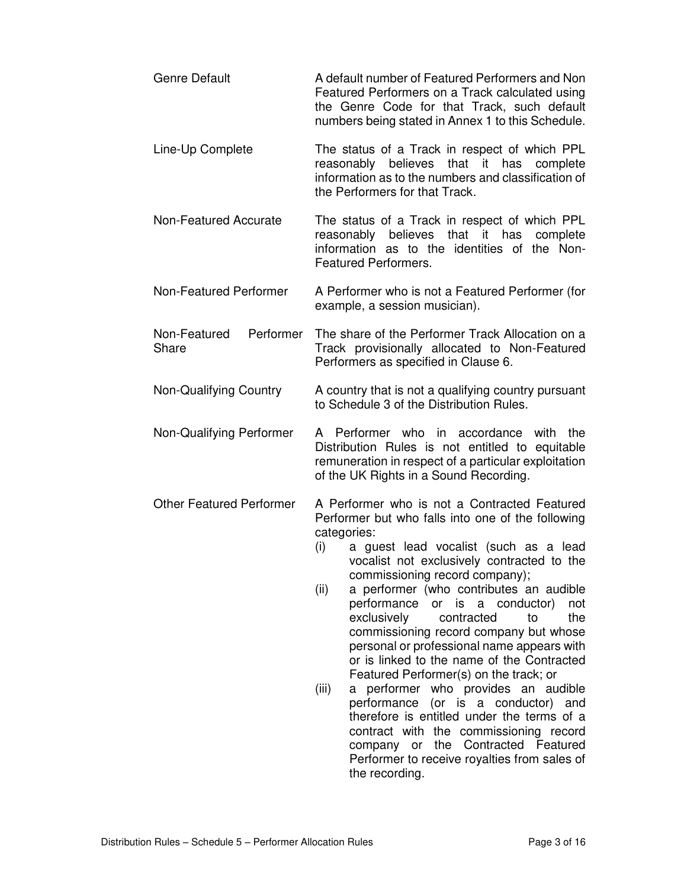| A default number of Featured Performers and Non<br>Featured Performers on a Track calculated using<br>the Genre Code for that Track, such default<br>numbers being stated in Annex 1 to this Schedule.                                                                                                                                                                                                                                                                                                                                                                                                                                                                                                                                                                                                                                                           |
|------------------------------------------------------------------------------------------------------------------------------------------------------------------------------------------------------------------------------------------------------------------------------------------------------------------------------------------------------------------------------------------------------------------------------------------------------------------------------------------------------------------------------------------------------------------------------------------------------------------------------------------------------------------------------------------------------------------------------------------------------------------------------------------------------------------------------------------------------------------|
| The status of a Track in respect of which PPL<br>reasonably believes that it has<br>complete<br>information as to the numbers and classification of<br>the Performers for that Track.                                                                                                                                                                                                                                                                                                                                                                                                                                                                                                                                                                                                                                                                            |
| The status of a Track in respect of which PPL<br>reasonably believes that it has<br>complete<br>information as to the identities of the Non-<br><b>Featured Performers.</b>                                                                                                                                                                                                                                                                                                                                                                                                                                                                                                                                                                                                                                                                                      |
| A Performer who is not a Featured Performer (for<br>example, a session musician).                                                                                                                                                                                                                                                                                                                                                                                                                                                                                                                                                                                                                                                                                                                                                                                |
| The share of the Performer Track Allocation on a<br>Track provisionally allocated to Non-Featured<br>Performers as specified in Clause 6.                                                                                                                                                                                                                                                                                                                                                                                                                                                                                                                                                                                                                                                                                                                        |
| A country that is not a qualifying country pursuant<br>to Schedule 3 of the Distribution Rules.                                                                                                                                                                                                                                                                                                                                                                                                                                                                                                                                                                                                                                                                                                                                                                  |
| A Performer who in accordance<br>with<br>the<br>Distribution Rules is not entitled to equitable<br>remuneration in respect of a particular exploitation<br>of the UK Rights in a Sound Recording.                                                                                                                                                                                                                                                                                                                                                                                                                                                                                                                                                                                                                                                                |
| A Performer who is not a Contracted Featured<br>Performer but who falls into one of the following<br>categories:<br>a guest lead vocalist (such as a lead<br>(i)<br>vocalist not exclusively contracted to the<br>commissioning record company);<br>a performer (who contributes an audible<br>(ii)<br>performance<br>is<br>a conductor)<br>or<br>not<br>exclusively<br>the<br>contracted<br>to<br>commissioning record company but whose<br>personal or professional name appears with<br>or is linked to the name of the Contracted<br>Featured Performer(s) on the track; or<br>performer who provides an audible<br>(iii)<br>a<br>performance<br>(or is a conductor)<br>and<br>therefore is entitled under the terms of a<br>contract with the commissioning record<br>the Contracted Featured<br>company or<br>Performer to receive royalties from sales of |
|                                                                                                                                                                                                                                                                                                                                                                                                                                                                                                                                                                                                                                                                                                                                                                                                                                                                  |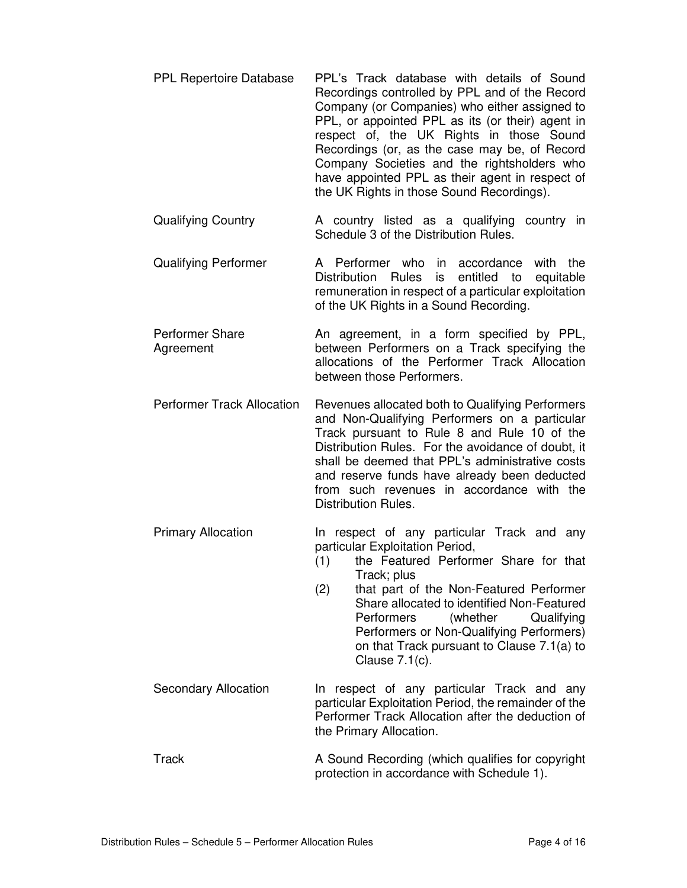- PPL Repertoire Database PPL's Track database with details of Sound Recordings controlled by PPL and of the Record Company (or Companies) who either assigned to PPL, or appointed PPL as its (or their) agent in respect of, the UK Rights in those Sound Recordings (or, as the case may be, of Record Company Societies and the rightsholders who have appointed PPL as their agent in respect of the UK Rights in those Sound Recordings).
- Qualifying Country A country listed as a qualifying country in Schedule 3 of the Distribution Rules.
- Qualifying Performer A Performer who in accordance with the Distribution Rules is entitled to equitable remuneration in respect of a particular exploitation of the UK Rights in a Sound Recording.
- Performer Share Agreement An agreement, in a form specified by PPL, between Performers on a Track specifying the allocations of the Performer Track Allocation between those Performers.
- Performer Track Allocation Revenues allocated both to Qualifying Performers and Non-Qualifying Performers on a particular Track pursuant to Rule 8 and Rule 10 of the Distribution Rules. For the avoidance of doubt, it shall be deemed that PPL's administrative costs and reserve funds have already been deducted from such revenues in accordance with the Distribution Rules.
- Primary Allocation **In respect of any particular Track and any** particular Exploitation Period,
	- (1) the Featured Performer Share for that Track; plus
	- (2) that part of the Non-Featured Performer Share allocated to identified Non-Featured Performers (whether Qualifying Performers or Non-Qualifying Performers) on that Track pursuant to Clause 7.1(a) to Clause 7.1(c).
- Secondary Allocation In respect of any particular Track and any particular Exploitation Period, the remainder of the Performer Track Allocation after the deduction of the Primary Allocation.
- Track A Sound Recording (which qualifies for copyright protection in accordance with Schedule 1).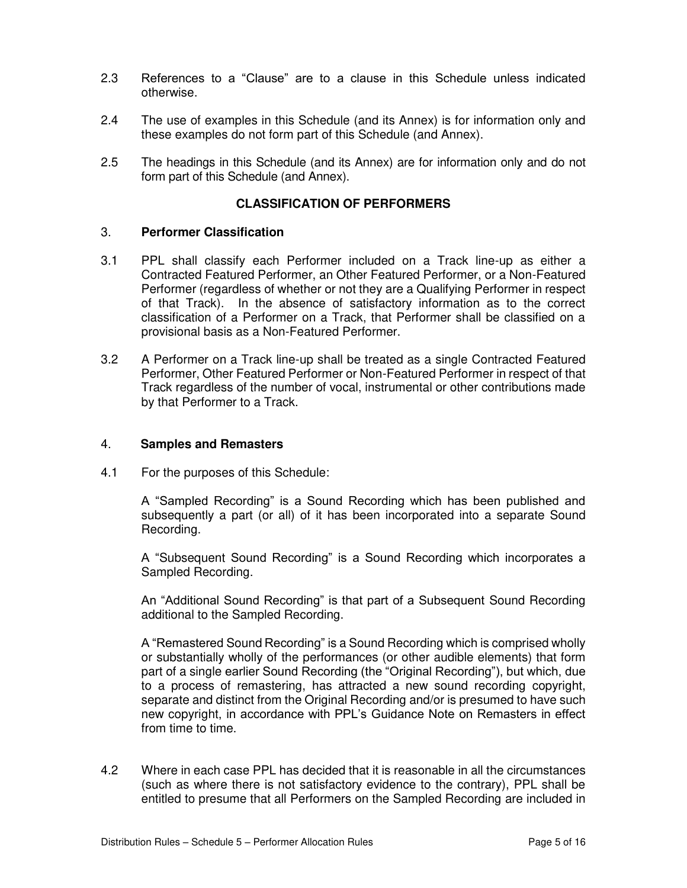- 2.3 References to a "Clause" are to a clause in this Schedule unless indicated otherwise.
- 2.4 The use of examples in this Schedule (and its Annex) is for information only and these examples do not form part of this Schedule (and Annex).
- 2.5 The headings in this Schedule (and its Annex) are for information only and do not form part of this Schedule (and Annex).

## **CLASSIFICATION OF PERFORMERS**

#### 3. **Performer Classification**

- 3.1 PPL shall classify each Performer included on a Track line-up as either a Contracted Featured Performer, an Other Featured Performer, or a Non-Featured Performer (regardless of whether or not they are a Qualifying Performer in respect of that Track). In the absence of satisfactory information as to the correct classification of a Performer on a Track, that Performer shall be classified on a provisional basis as a Non-Featured Performer.
- 3.2 A Performer on a Track line-up shall be treated as a single Contracted Featured Performer, Other Featured Performer or Non-Featured Performer in respect of that Track regardless of the number of vocal, instrumental or other contributions made by that Performer to a Track.

## 4. **Samples and Remasters**

4.1 For the purposes of this Schedule:

A "Sampled Recording" is a Sound Recording which has been published and subsequently a part (or all) of it has been incorporated into a separate Sound Recording.

A "Subsequent Sound Recording" is a Sound Recording which incorporates a Sampled Recording.

An "Additional Sound Recording" is that part of a Subsequent Sound Recording additional to the Sampled Recording.

A "Remastered Sound Recording" is a Sound Recording which is comprised wholly or substantially wholly of the performances (or other audible elements) that form part of a single earlier Sound Recording (the "Original Recording"), but which, due to a process of remastering, has attracted a new sound recording copyright, separate and distinct from the Original Recording and/or is presumed to have such new copyright, in accordance with PPL's Guidance Note on Remasters in effect from time to time.

4.2 Where in each case PPL has decided that it is reasonable in all the circumstances (such as where there is not satisfactory evidence to the contrary), PPL shall be entitled to presume that all Performers on the Sampled Recording are included in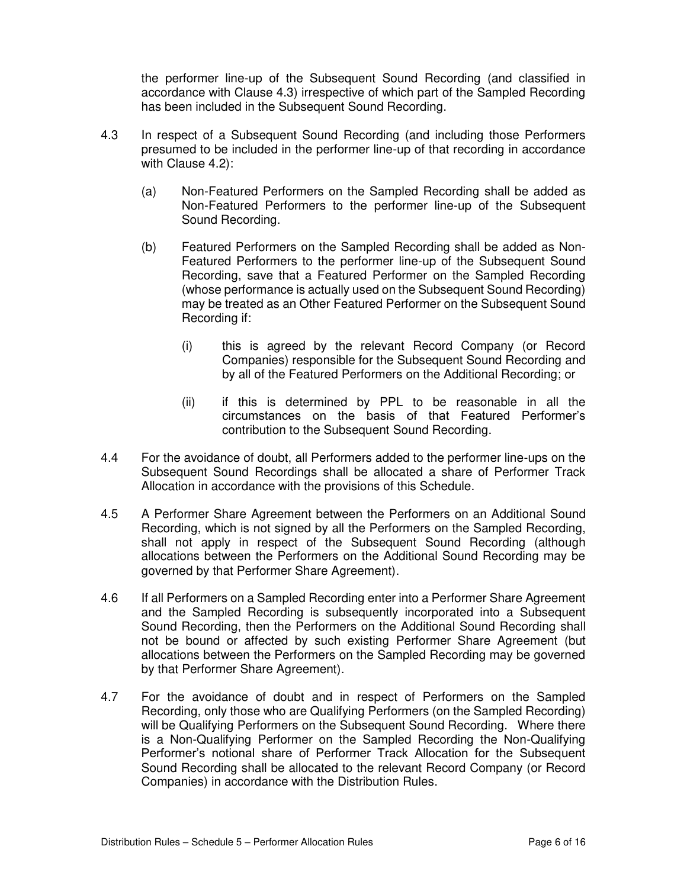the performer line-up of the Subsequent Sound Recording (and classified in accordance with Clause 4.3) irrespective of which part of the Sampled Recording has been included in the Subsequent Sound Recording.

- 4.3 In respect of a Subsequent Sound Recording (and including those Performers presumed to be included in the performer line-up of that recording in accordance with Clause 4.2):
	- (a) Non-Featured Performers on the Sampled Recording shall be added as Non-Featured Performers to the performer line-up of the Subsequent Sound Recording.
	- (b) Featured Performers on the Sampled Recording shall be added as Non-Featured Performers to the performer line-up of the Subsequent Sound Recording, save that a Featured Performer on the Sampled Recording (whose performance is actually used on the Subsequent Sound Recording) may be treated as an Other Featured Performer on the Subsequent Sound Recording if:
		- (i) this is agreed by the relevant Record Company (or Record Companies) responsible for the Subsequent Sound Recording and by all of the Featured Performers on the Additional Recording; or
		- (ii) if this is determined by PPL to be reasonable in all the circumstances on the basis of that Featured Performer's contribution to the Subsequent Sound Recording.
- 4.4 For the avoidance of doubt, all Performers added to the performer line-ups on the Subsequent Sound Recordings shall be allocated a share of Performer Track Allocation in accordance with the provisions of this Schedule.
- 4.5 A Performer Share Agreement between the Performers on an Additional Sound Recording, which is not signed by all the Performers on the Sampled Recording, shall not apply in respect of the Subsequent Sound Recording (although allocations between the Performers on the Additional Sound Recording may be governed by that Performer Share Agreement).
- 4.6 If all Performers on a Sampled Recording enter into a Performer Share Agreement and the Sampled Recording is subsequently incorporated into a Subsequent Sound Recording, then the Performers on the Additional Sound Recording shall not be bound or affected by such existing Performer Share Agreement (but allocations between the Performers on the Sampled Recording may be governed by that Performer Share Agreement).
- 4.7 For the avoidance of doubt and in respect of Performers on the Sampled Recording, only those who are Qualifying Performers (on the Sampled Recording) will be Qualifying Performers on the Subsequent Sound Recording. Where there is a Non-Qualifying Performer on the Sampled Recording the Non-Qualifying Performer's notional share of Performer Track Allocation for the Subsequent Sound Recording shall be allocated to the relevant Record Company (or Record Companies) in accordance with the Distribution Rules.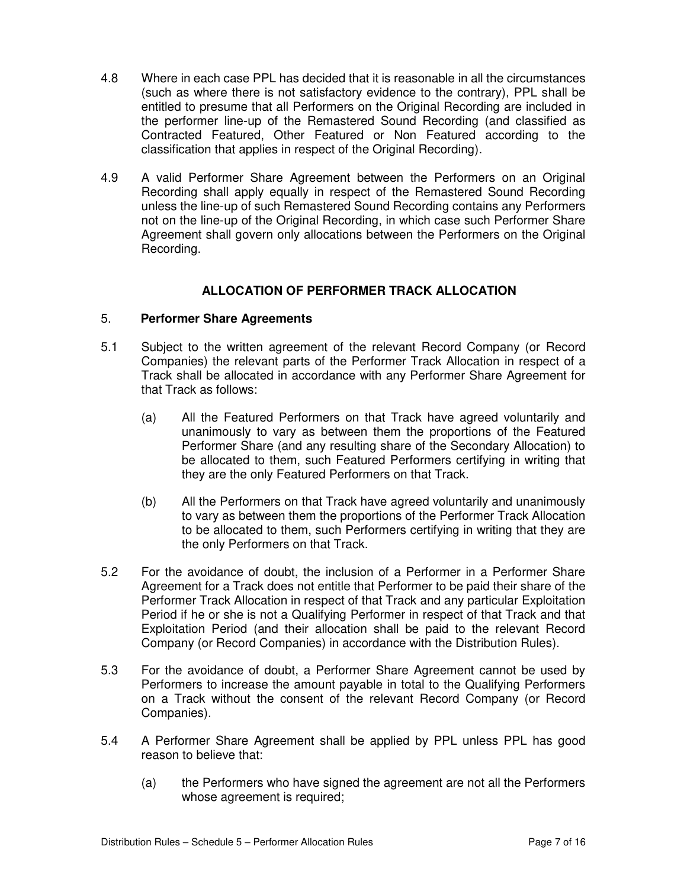- 4.8 Where in each case PPL has decided that it is reasonable in all the circumstances (such as where there is not satisfactory evidence to the contrary), PPL shall be entitled to presume that all Performers on the Original Recording are included in the performer line-up of the Remastered Sound Recording (and classified as Contracted Featured, Other Featured or Non Featured according to the classification that applies in respect of the Original Recording).
- 4.9 A valid Performer Share Agreement between the Performers on an Original Recording shall apply equally in respect of the Remastered Sound Recording unless the line-up of such Remastered Sound Recording contains any Performers not on the line-up of the Original Recording, in which case such Performer Share Agreement shall govern only allocations between the Performers on the Original Recording.

## **ALLOCATION OF PERFORMER TRACK ALLOCATION**

## 5. **Performer Share Agreements**

- 5.1 Subject to the written agreement of the relevant Record Company (or Record Companies) the relevant parts of the Performer Track Allocation in respect of a Track shall be allocated in accordance with any Performer Share Agreement for that Track as follows:
	- (a) All the Featured Performers on that Track have agreed voluntarily and unanimously to vary as between them the proportions of the Featured Performer Share (and any resulting share of the Secondary Allocation) to be allocated to them, such Featured Performers certifying in writing that they are the only Featured Performers on that Track.
	- (b) All the Performers on that Track have agreed voluntarily and unanimously to vary as between them the proportions of the Performer Track Allocation to be allocated to them, such Performers certifying in writing that they are the only Performers on that Track.
- 5.2 For the avoidance of doubt, the inclusion of a Performer in a Performer Share Agreement for a Track does not entitle that Performer to be paid their share of the Performer Track Allocation in respect of that Track and any particular Exploitation Period if he or she is not a Qualifying Performer in respect of that Track and that Exploitation Period (and their allocation shall be paid to the relevant Record Company (or Record Companies) in accordance with the Distribution Rules).
- 5.3 For the avoidance of doubt, a Performer Share Agreement cannot be used by Performers to increase the amount payable in total to the Qualifying Performers on a Track without the consent of the relevant Record Company (or Record Companies).
- 5.4 A Performer Share Agreement shall be applied by PPL unless PPL has good reason to believe that:
	- (a) the Performers who have signed the agreement are not all the Performers whose agreement is required;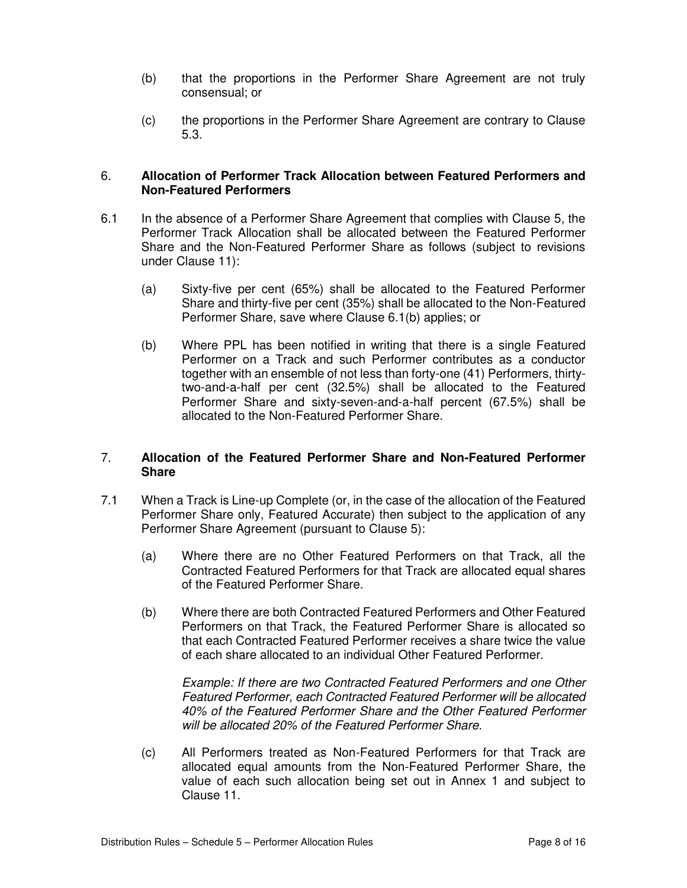- (b) that the proportions in the Performer Share Agreement are not truly consensual; or
- (c) the proportions in the Performer Share Agreement are contrary to Clause 5.3.

#### 6. **Allocation of Performer Track Allocation between Featured Performers and Non-Featured Performers**

- 6.1 In the absence of a Performer Share Agreement that complies with Clause 5, the Performer Track Allocation shall be allocated between the Featured Performer Share and the Non-Featured Performer Share as follows (subject to revisions under Clause 11):
	- (a) Sixty-five per cent (65%) shall be allocated to the Featured Performer Share and thirty-five per cent (35%) shall be allocated to the Non-Featured Performer Share, save where Clause 6.1(b) applies; or
	- (b) Where PPL has been notified in writing that there is a single Featured Performer on a Track and such Performer contributes as a conductor together with an ensemble of not less than forty-one (41) Performers, thirtytwo-and-a-half per cent (32.5%) shall be allocated to the Featured Performer Share and sixty-seven-and-a-half percent (67.5%) shall be allocated to the Non-Featured Performer Share.

## 7. **Allocation of the Featured Performer Share and Non-Featured Performer Share**

- 7.1 When a Track is Line-up Complete (or, in the case of the allocation of the Featured Performer Share only, Featured Accurate) then subject to the application of any Performer Share Agreement (pursuant to Clause 5):
	- (a) Where there are no Other Featured Performers on that Track, all the Contracted Featured Performers for that Track are allocated equal shares of the Featured Performer Share.
	- (b) Where there are both Contracted Featured Performers and Other Featured Performers on that Track, the Featured Performer Share is allocated so that each Contracted Featured Performer receives a share twice the value of each share allocated to an individual Other Featured Performer.

*Example: If there are two Contracted Featured Performers and one Other Featured Performer, each Contracted Featured Performer will be allocated 40% of the Featured Performer Share and the Other Featured Performer will be allocated 20% of the Featured Performer Share.* 

(c) All Performers treated as Non-Featured Performers for that Track are allocated equal amounts from the Non-Featured Performer Share, the value of each such allocation being set out in Annex 1 and subject to Clause 11.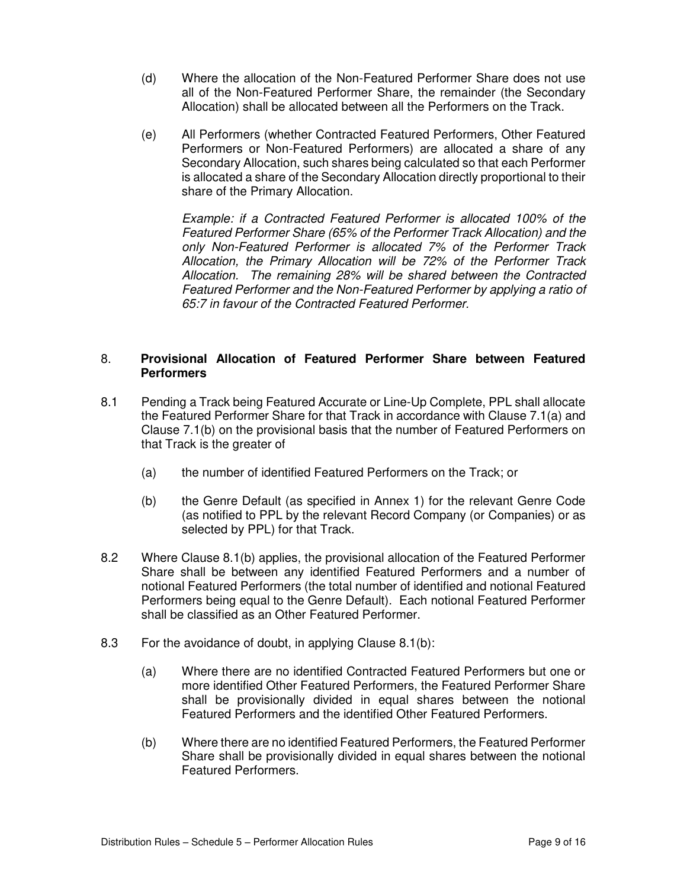- (d) Where the allocation of the Non-Featured Performer Share does not use all of the Non-Featured Performer Share, the remainder (the Secondary Allocation) shall be allocated between all the Performers on the Track.
- (e) All Performers (whether Contracted Featured Performers, Other Featured Performers or Non-Featured Performers) are allocated a share of any Secondary Allocation, such shares being calculated so that each Performer is allocated a share of the Secondary Allocation directly proportional to their share of the Primary Allocation.

 *Example: if a Contracted Featured Performer is allocated 100% of the Featured Performer Share (65% of the Performer Track Allocation) and the only Non-Featured Performer is allocated 7% of the Performer Track Allocation, the Primary Allocation will be 72% of the Performer Track Allocation. The remaining 28% will be shared between the Contracted Featured Performer and the Non-Featured Performer by applying a ratio of 65:7 in favour of the Contracted Featured Performer.* 

## 8. **Provisional Allocation of Featured Performer Share between Featured Performers**

- 8.1 Pending a Track being Featured Accurate or Line-Up Complete, PPL shall allocate the Featured Performer Share for that Track in accordance with Clause 7.1(a) and Clause 7.1(b) on the provisional basis that the number of Featured Performers on that Track is the greater of
	- (a) the number of identified Featured Performers on the Track; or
	- (b) the Genre Default (as specified in Annex 1) for the relevant Genre Code (as notified to PPL by the relevant Record Company (or Companies) or as selected by PPL) for that Track.
- 8.2 Where Clause 8.1(b) applies, the provisional allocation of the Featured Performer Share shall be between any identified Featured Performers and a number of notional Featured Performers (the total number of identified and notional Featured Performers being equal to the Genre Default). Each notional Featured Performer shall be classified as an Other Featured Performer.
- 8.3 For the avoidance of doubt, in applying Clause 8.1(b):
	- (a) Where there are no identified Contracted Featured Performers but one or more identified Other Featured Performers, the Featured Performer Share shall be provisionally divided in equal shares between the notional Featured Performers and the identified Other Featured Performers.
	- (b) Where there are no identified Featured Performers, the Featured Performer Share shall be provisionally divided in equal shares between the notional Featured Performers.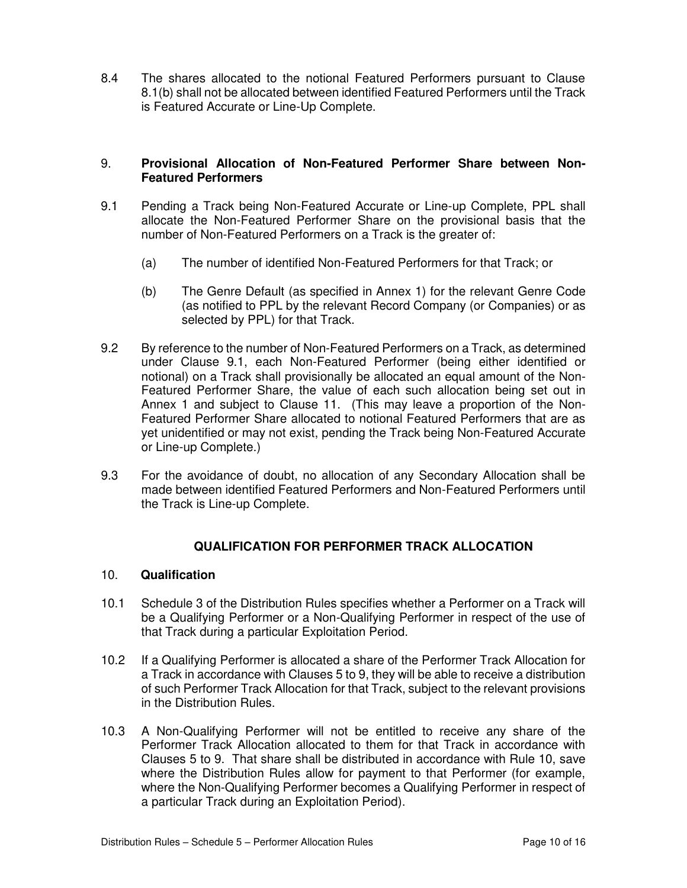8.4 The shares allocated to the notional Featured Performers pursuant to Clause 8.1(b) shall not be allocated between identified Featured Performers until the Track is Featured Accurate or Line-Up Complete.

## 9. **Provisional Allocation of Non-Featured Performer Share between Non-Featured Performers**

- 9.1 Pending a Track being Non-Featured Accurate or Line-up Complete, PPL shall allocate the Non-Featured Performer Share on the provisional basis that the number of Non-Featured Performers on a Track is the greater of:
	- (a) The number of identified Non-Featured Performers for that Track; or
	- (b) The Genre Default (as specified in Annex 1) for the relevant Genre Code (as notified to PPL by the relevant Record Company (or Companies) or as selected by PPL) for that Track.
- 9.2 By reference to the number of Non-Featured Performers on a Track, as determined under Clause 9.1, each Non-Featured Performer (being either identified or notional) on a Track shall provisionally be allocated an equal amount of the Non-Featured Performer Share, the value of each such allocation being set out in Annex 1 and subject to Clause 11. (This may leave a proportion of the Non-Featured Performer Share allocated to notional Featured Performers that are as yet unidentified or may not exist, pending the Track being Non-Featured Accurate or Line-up Complete.)
- 9.3 For the avoidance of doubt, no allocation of any Secondary Allocation shall be made between identified Featured Performers and Non-Featured Performers until the Track is Line-up Complete.

## **QUALIFICATION FOR PERFORMER TRACK ALLOCATION**

## 10. **Qualification**

- 10.1 Schedule 3 of the Distribution Rules specifies whether a Performer on a Track will be a Qualifying Performer or a Non-Qualifying Performer in respect of the use of that Track during a particular Exploitation Period.
- 10.2 If a Qualifying Performer is allocated a share of the Performer Track Allocation for a Track in accordance with Clauses 5 to 9, they will be able to receive a distribution of such Performer Track Allocation for that Track, subject to the relevant provisions in the Distribution Rules.
- 10.3 A Non-Qualifying Performer will not be entitled to receive any share of the Performer Track Allocation allocated to them for that Track in accordance with Clauses 5 to 9. That share shall be distributed in accordance with Rule 10, save where the Distribution Rules allow for payment to that Performer (for example, where the Non-Qualifying Performer becomes a Qualifying Performer in respect of a particular Track during an Exploitation Period).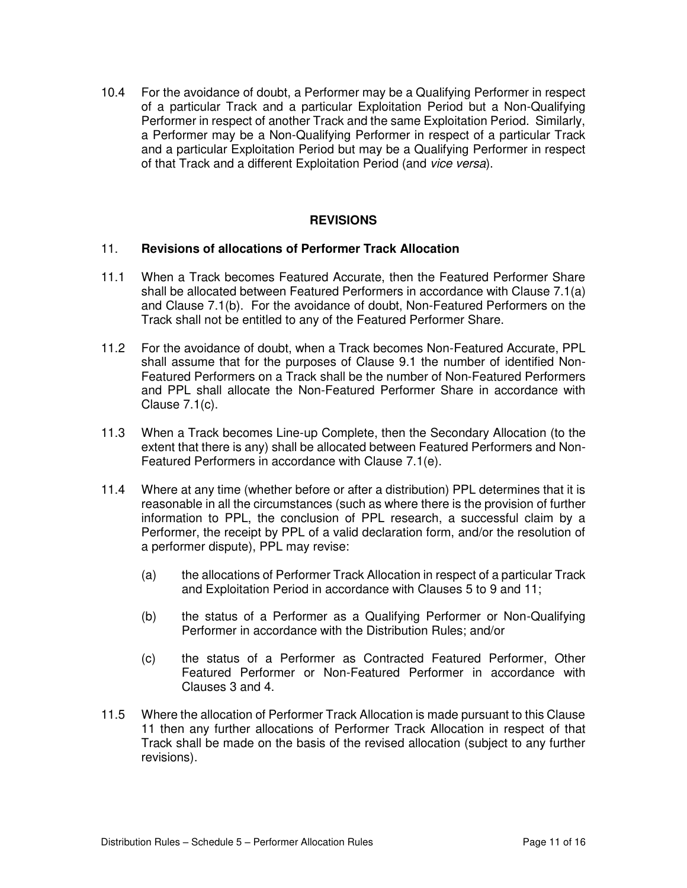10.4 For the avoidance of doubt, a Performer may be a Qualifying Performer in respect of a particular Track and a particular Exploitation Period but a Non-Qualifying Performer in respect of another Track and the same Exploitation Period. Similarly, a Performer may be a Non-Qualifying Performer in respect of a particular Track and a particular Exploitation Period but may be a Qualifying Performer in respect of that Track and a different Exploitation Period (and *vice versa*).

### **REVISIONS**

#### 11. **Revisions of allocations of Performer Track Allocation**

- 11.1 When a Track becomes Featured Accurate, then the Featured Performer Share shall be allocated between Featured Performers in accordance with Clause 7.1(a) and Clause 7.1(b). For the avoidance of doubt, Non-Featured Performers on the Track shall not be entitled to any of the Featured Performer Share.
- 11.2 For the avoidance of doubt, when a Track becomes Non-Featured Accurate, PPL shall assume that for the purposes of Clause 9.1 the number of identified Non-Featured Performers on a Track shall be the number of Non-Featured Performers and PPL shall allocate the Non-Featured Performer Share in accordance with Clause 7.1(c).
- 11.3 When a Track becomes Line-up Complete, then the Secondary Allocation (to the extent that there is any) shall be allocated between Featured Performers and Non-Featured Performers in accordance with Clause 7.1(e).
- 11.4 Where at any time (whether before or after a distribution) PPL determines that it is reasonable in all the circumstances (such as where there is the provision of further information to PPL, the conclusion of PPL research, a successful claim by a Performer, the receipt by PPL of a valid declaration form, and/or the resolution of a performer dispute), PPL may revise:
	- (a) the allocations of Performer Track Allocation in respect of a particular Track and Exploitation Period in accordance with Clauses 5 to 9 and 11;
	- (b) the status of a Performer as a Qualifying Performer or Non-Qualifying Performer in accordance with the Distribution Rules; and/or
	- (c) the status of a Performer as Contracted Featured Performer, Other Featured Performer or Non-Featured Performer in accordance with Clauses 3 and 4.
- 11.5 Where the allocation of Performer Track Allocation is made pursuant to this Clause 11 then any further allocations of Performer Track Allocation in respect of that Track shall be made on the basis of the revised allocation (subject to any further revisions).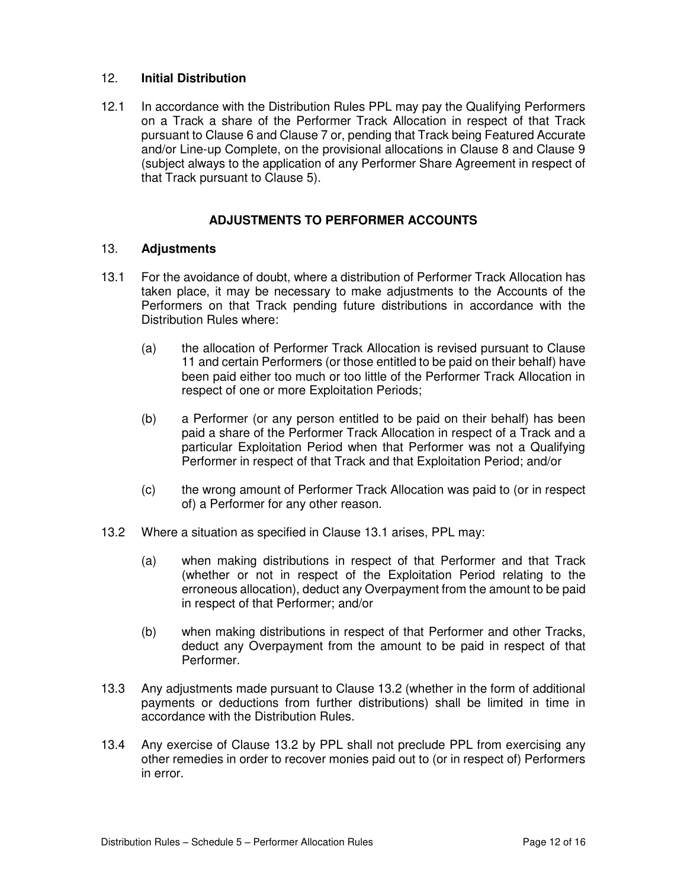## 12. **Initial Distribution**

12.1 In accordance with the Distribution Rules PPL may pay the Qualifying Performers on a Track a share of the Performer Track Allocation in respect of that Track pursuant to Clause 6 and Clause 7 or, pending that Track being Featured Accurate and/or Line-up Complete, on the provisional allocations in Clause 8 and Clause 9 (subject always to the application of any Performer Share Agreement in respect of that Track pursuant to Clause 5).

## **ADJUSTMENTS TO PERFORMER ACCOUNTS**

#### 13. **Adjustments**

- 13.1 For the avoidance of doubt, where a distribution of Performer Track Allocation has taken place, it may be necessary to make adjustments to the Accounts of the Performers on that Track pending future distributions in accordance with the Distribution Rules where:
	- (a) the allocation of Performer Track Allocation is revised pursuant to Clause 11 and certain Performers (or those entitled to be paid on their behalf) have been paid either too much or too little of the Performer Track Allocation in respect of one or more Exploitation Periods;
	- (b) a Performer (or any person entitled to be paid on their behalf) has been paid a share of the Performer Track Allocation in respect of a Track and a particular Exploitation Period when that Performer was not a Qualifying Performer in respect of that Track and that Exploitation Period; and/or
	- (c) the wrong amount of Performer Track Allocation was paid to (or in respect of) a Performer for any other reason.
- 13.2 Where a situation as specified in Clause 13.1 arises, PPL may:
	- (a) when making distributions in respect of that Performer and that Track (whether or not in respect of the Exploitation Period relating to the erroneous allocation), deduct any Overpayment from the amount to be paid in respect of that Performer; and/or
	- (b) when making distributions in respect of that Performer and other Tracks, deduct any Overpayment from the amount to be paid in respect of that Performer.
- 13.3 Any adjustments made pursuant to Clause 13.2 (whether in the form of additional payments or deductions from further distributions) shall be limited in time in accordance with the Distribution Rules.
- 13.4 Any exercise of Clause 13.2 by PPL shall not preclude PPL from exercising any other remedies in order to recover monies paid out to (or in respect of) Performers in error.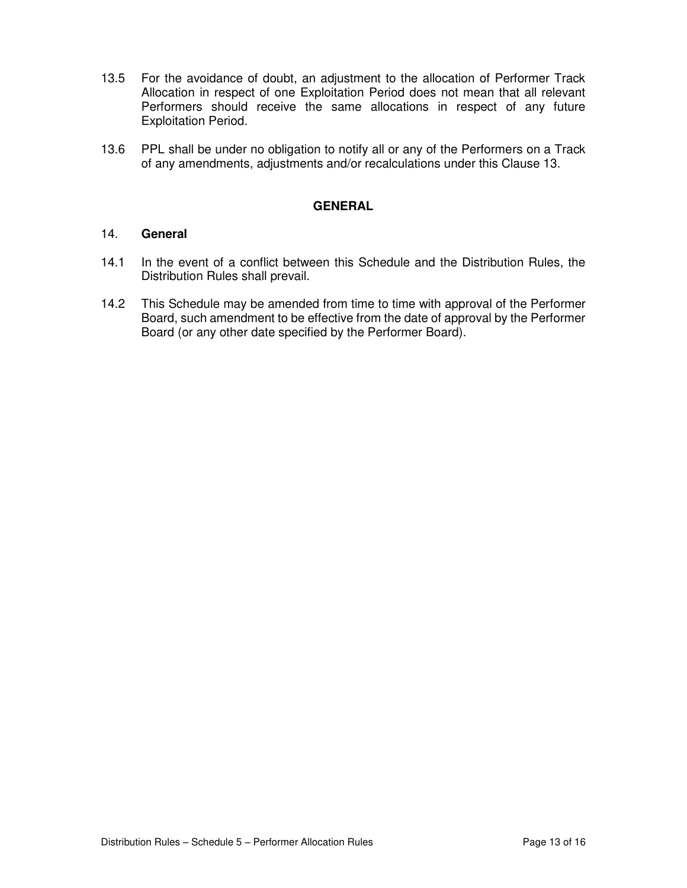- 13.5 For the avoidance of doubt, an adjustment to the allocation of Performer Track Allocation in respect of one Exploitation Period does not mean that all relevant Performers should receive the same allocations in respect of any future Exploitation Period.
- 13.6 PPL shall be under no obligation to notify all or any of the Performers on a Track of any amendments, adjustments and/or recalculations under this Clause 13.

### **GENERAL**

#### 14. **General**

- 14.1 In the event of a conflict between this Schedule and the Distribution Rules, the Distribution Rules shall prevail.
- 14.2 This Schedule may be amended from time to time with approval of the Performer Board, such amendment to be effective from the date of approval by the Performer Board (or any other date specified by the Performer Board).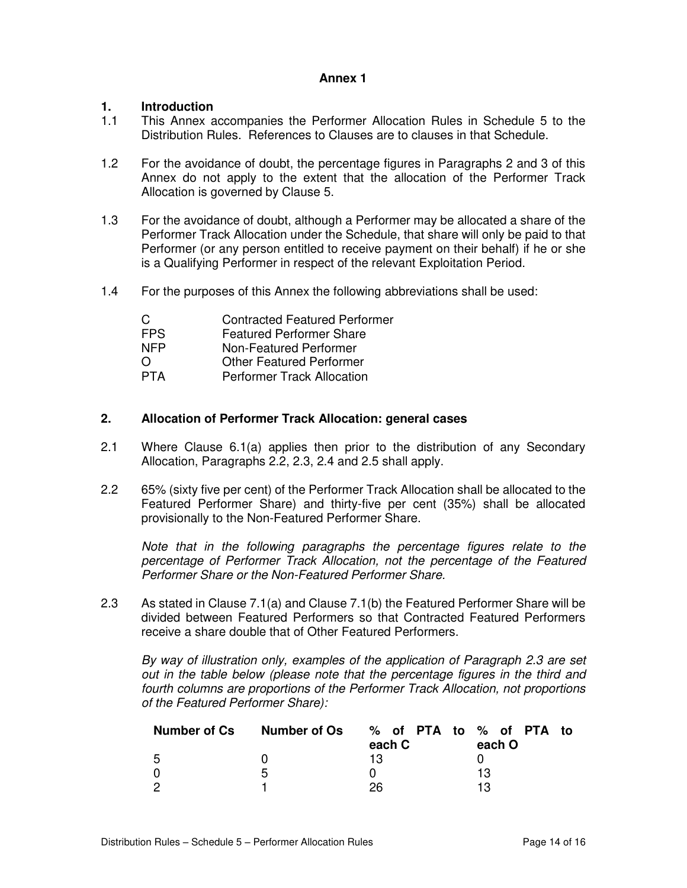#### **Annex 1**

## **1. Introduction**

- 1.1 This Annex accompanies the Performer Allocation Rules in Schedule 5 to the Distribution Rules. References to Clauses are to clauses in that Schedule.
- 1.2 For the avoidance of doubt, the percentage figures in Paragraphs 2 and 3 of this Annex do not apply to the extent that the allocation of the Performer Track Allocation is governed by Clause 5.
- 1.3 For the avoidance of doubt, although a Performer may be allocated a share of the Performer Track Allocation under the Schedule, that share will only be paid to that Performer (or any person entitled to receive payment on their behalf) if he or she is a Qualifying Performer in respect of the relevant Exploitation Period.
- 1.4 For the purposes of this Annex the following abbreviations shall be used:

| <b>Contracted Featured Performer</b> |
|--------------------------------------|
| <b>Featured Performer Share</b>      |
| Non-Featured Performer               |
| <b>Other Featured Performer</b>      |
| <b>Performer Track Allocation</b>    |
|                                      |

### **2. Allocation of Performer Track Allocation: general cases**

- 2.1 Where Clause 6.1(a) applies then prior to the distribution of any Secondary Allocation, Paragraphs 2.2, 2.3, 2.4 and 2.5 shall apply.
- 2.2 65% (sixty five per cent) of the Performer Track Allocation shall be allocated to the Featured Performer Share) and thirty-five per cent (35%) shall be allocated provisionally to the Non-Featured Performer Share.

*Note that in the following paragraphs the percentage figures relate to the percentage of Performer Track Allocation, not the percentage of the Featured Performer Share or the Non-Featured Performer Share.* 

2.3 As stated in Clause 7.1(a) and Clause 7.1(b) the Featured Performer Share will be divided between Featured Performers so that Contracted Featured Performers receive a share double that of Other Featured Performers.

*By way of illustration only, examples of the application of Paragraph 2.3 are set out in the table below (please note that the percentage figures in the third and fourth columns are proportions of the Performer Track Allocation, not proportions of the Featured Performer Share):* 

| <b>Number of Cs</b> | Number of Os | % of PTA to % of PTA to<br>each C | each O |
|---------------------|--------------|-----------------------------------|--------|
| -5                  |              | 13                                |        |
| 0                   | ა            |                                   | 13     |
| - 2                 |              | 26                                | 13     |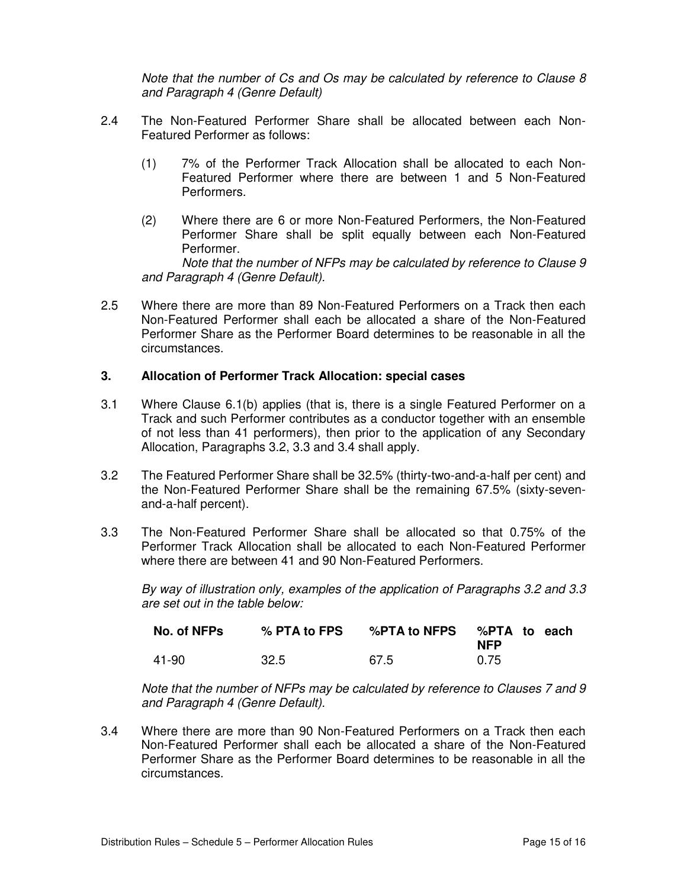*Note that the number of Cs and Os may be calculated by reference to Clause 8 and Paragraph 4 (Genre Default)* 

- 2.4 The Non-Featured Performer Share shall be allocated between each Non-Featured Performer as follows:
	- (1) 7% of the Performer Track Allocation shall be allocated to each Non-Featured Performer where there are between 1 and 5 Non-Featured Performers.
	- (2) Where there are 6 or more Non-Featured Performers, the Non-Featured Performer Share shall be split equally between each Non-Featured Performer.

 *Note that the number of NFPs may be calculated by reference to Clause 9 and Paragraph 4 (Genre Default).* 

2.5 Where there are more than 89 Non-Featured Performers on a Track then each Non-Featured Performer shall each be allocated a share of the Non-Featured Performer Share as the Performer Board determines to be reasonable in all the circumstances.

#### **3. Allocation of Performer Track Allocation: special cases**

- 3.1 Where Clause 6.1(b) applies (that is, there is a single Featured Performer on a Track and such Performer contributes as a conductor together with an ensemble of not less than 41 performers), then prior to the application of any Secondary Allocation, Paragraphs 3.2, 3.3 and 3.4 shall apply.
- 3.2 The Featured Performer Share shall be 32.5% (thirty-two-and-a-half per cent) and the Non-Featured Performer Share shall be the remaining 67.5% (sixty-sevenand-a-half percent).
- 3.3 The Non-Featured Performer Share shall be allocated so that 0.75% of the Performer Track Allocation shall be allocated to each Non-Featured Performer where there are between 41 and 90 Non-Featured Performers.

*By way of illustration only, examples of the application of Paragraphs 3.2 and 3.3 are set out in the table below:* 

| No. of NFPs | % PTA to FPS | %PTA to NFPS %PTA to each | <b>NFP</b> |  |
|-------------|--------------|---------------------------|------------|--|
| 41-90       | 32.5         | 67.5                      | 0.75       |  |

*Note that the number of NFPs may be calculated by reference to Clauses 7 and 9 and Paragraph 4 (Genre Default).*

3.4 Where there are more than 90 Non-Featured Performers on a Track then each Non-Featured Performer shall each be allocated a share of the Non-Featured Performer Share as the Performer Board determines to be reasonable in all the circumstances.